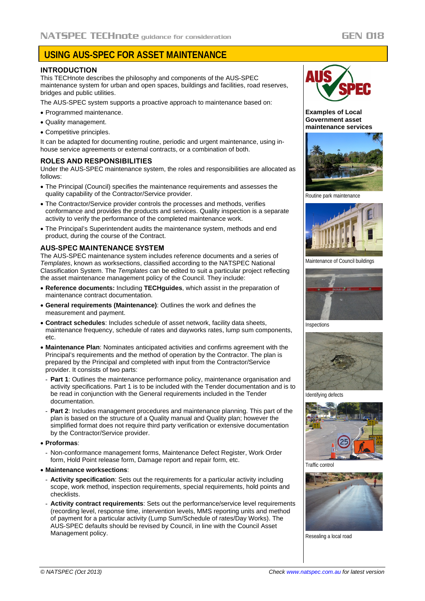# **USING AUS-SPEC FOR ASSET MAINTENANCE**

### **INTRODUCTION**

This TECHnote describes the philosophy and components of the AUS-SPEC maintenance system for urban and open spaces, buildings and facilities, road reserves, bridges and public utilities.

The AUS-SPEC system supports a proactive approach to maintenance based on:

- Programmed maintenance.
- Quality management.
- Competitive principles.

It can be adapted for documenting routine, periodic and urgent maintenance, using inhouse service agreements or external contracts, or a combination of both.

### **ROLES AND RESPONSIBILITIES**

Under the AUS-SPEC maintenance system, the roles and responsibilities are allocated as follows:

- The Principal (Council) specifies the maintenance requirements and assesses the quality capability of the Contractor/Service provider.
- The Contractor/Service provider controls the processes and methods, verifies conformance and provides the products and services. Quality inspection is a separate activity to verify the performance of the completed maintenance work.
- The Principal's Superintendent audits the maintenance system, methods and end product, during the course of the Contract.

### **AUS-SPEC MAINTENANCE SYSTEM**

The AUS-SPEC maintenance system includes reference documents and a series of *Templates*, known as worksections, classified according to the NATSPEC National Classification System. The *Templates* can be edited to suit a particular project reflecting the asset maintenance management policy of the Council. They include:

- **Reference documents:** Including **TECHguides**, which assist in the preparation of maintenance contract documentation.
- **General requirements (Maintenance)**: Outlines the work and defines the measurement and payment.
- **Contract schedules**: Includes schedule of asset network, facility data sheets, maintenance frequency, schedule of rates and dayworks rates, lump sum components, etc.
- **Maintenance Plan**: Nominates anticipated activities and confirms agreement with the Principal's requirements and the method of operation by the Contractor. The plan is prepared by the Principal and completed with input from the Contractor/Service provider. It consists of two parts:
- **Part 1**: Outlines the maintenance performance policy, maintenance organisation and activity specifications. Part 1 is to be included with the Tender documentation and is to be read in conjunction with the General requirements included in the Tender documentation.
- **Part 2:** Includes management procedures and maintenance planning. This part of the plan is based on the structure of a Quality manual and Quality plan; however the simplified format does not require third party verification or extensive documentation by the Contractor/Service provider.

### • **Proformas**:

- Non-conformance management forms, Maintenance Defect Register, Work Order form, Hold Point release form, Damage report and repair form, etc.

### • **Maintenance worksections**:

- **Activity specification**: Sets out the requirements for a particular activity including scope, work method, inspection requirements, special requirements, hold points and checklists.
- **Activity contract requirements**: Sets out the performance/service level requirements (recording level, response time, intervention levels, MMS reporting units and method of payment for a particular activity (Lump Sum/Schedule of rates/Day Works). The AUS-SPEC defaults should be revised by Council, in line with the Council Asset Management policy.



**Examples of Local Government asset maintenance services**



Routine park maintenance



Maintenance of Council buildings



Inspections



Identifying defects



Traffic control



Resealing a local road